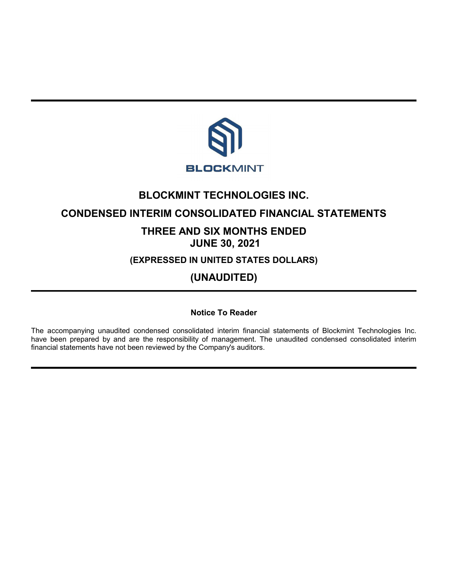

# **BLOCKMINT TECHNOLOGIES INC.**

## **CONDENSED INTERIM CONSOLIDATED FINANCIAL STATEMENTS**

# **THREE AND SIX MONTHS ENDED JUNE 30, 2021**

**(EXPRESSED IN UNITED STATES DOLLARS)**

**(UNAUDITED)**

## **Notice To Reader**

The accompanying unaudited condensed consolidated interim financial statements of Blockmint Technologies Inc. have been prepared by and are the responsibility of management. The unaudited condensed consolidated interim financial statements have not been reviewed by the Company's auditors.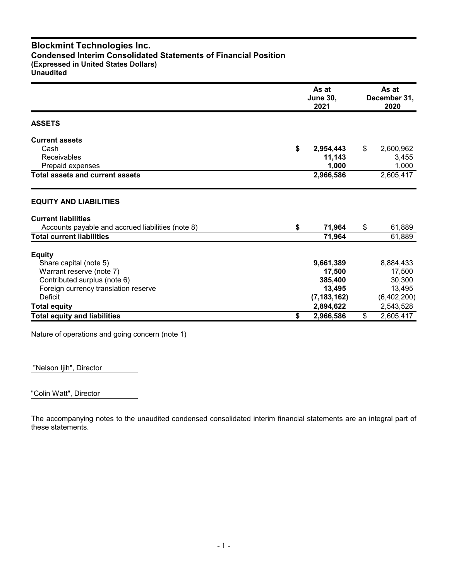## **Blockmint Technologies Inc. Condensed Interim Consolidated Statements of Financial Position (Expressed in United States Dollars) Unaudited**

|                                                   | As at<br><b>June 30,</b><br>2021 |    |             |
|---------------------------------------------------|----------------------------------|----|-------------|
| <b>ASSETS</b>                                     |                                  |    |             |
| <b>Current assets</b>                             |                                  |    |             |
| Cash                                              | \$<br>2,954,443                  | \$ | 2,600,962   |
| <b>Receivables</b>                                | 11,143                           |    | 3,455       |
| Prepaid expenses                                  | 1,000                            |    | 1,000       |
| <b>Total assets and current assets</b>            | 2,966,586                        |    | 2,605,417   |
| <b>EQUITY AND LIABILITIES</b>                     |                                  |    |             |
| <b>Current liabilities</b>                        |                                  |    |             |
| Accounts payable and accrued liabilities (note 8) | \$<br>71,964                     | \$ | 61,889      |
| <b>Total current liabilities</b>                  | 71,964                           |    | 61,889      |
| <b>Equity</b>                                     |                                  |    |             |
| Share capital (note 5)                            | 9,661,389                        |    | 8,884,433   |
| Warrant reserve (note 7)                          | 17,500                           |    | 17,500      |
| Contributed surplus (note 6)                      | 385,400                          |    | 30,300      |
| Foreign currency translation reserve              | 13,495                           |    | 13,495      |
| Deficit                                           | (7, 183, 162)                    |    | (6,402,200) |
| <b>Total equity</b>                               | 2,894,622                        |    | 2,543,528   |
| <b>Total equity and liabilities</b>               | \$<br>2,966,586                  | \$ | 2,605,417   |

Nature of operations and going concern (note 1)

"Nelson Ijih", Director

"Colin Watt", Director

The accompanying notes to the unaudited condensed consolidated interim financial statements are an integral part of these statements.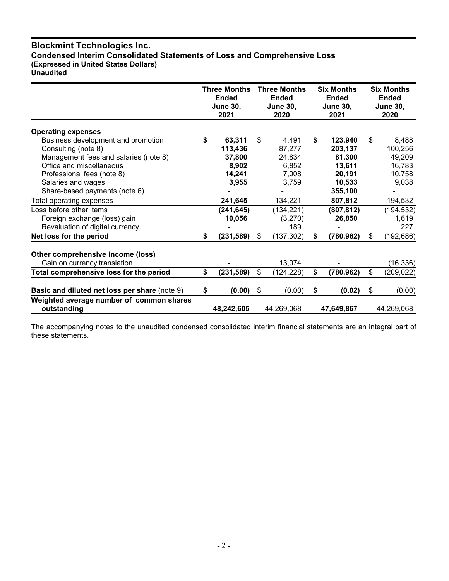## **Blockmint Technologies Inc. Condensed Interim Consolidated Statements of Loss and Comprehensive Loss (Expressed in United States Dollars) Unaudited**

|                                                         | <b>Three Months</b><br><b>Ended</b><br><b>June 30,</b><br>2021 |            | <b>Three Months</b><br><b>Ended</b><br><b>June 30,</b><br>2020 |            |    | <b>Six Months</b><br><b>Ended</b><br><b>June 30,</b><br>2021 | <b>Six Months</b><br><b>Ended</b><br><b>June 30,</b><br>2020 |
|---------------------------------------------------------|----------------------------------------------------------------|------------|----------------------------------------------------------------|------------|----|--------------------------------------------------------------|--------------------------------------------------------------|
| <b>Operating expenses</b>                               |                                                                |            |                                                                |            |    |                                                              |                                                              |
| Business development and promotion                      | \$                                                             | 63,311     | \$                                                             | 4,491      | S. | 123,940                                                      | \$<br>8,488                                                  |
| Consulting (note 8)                                     |                                                                | 113,436    |                                                                | 87,277     |    | 203,137                                                      | 100,256                                                      |
| Management fees and salaries (note 8)                   |                                                                | 37,800     |                                                                | 24,834     |    | 81,300                                                       | 49,209                                                       |
| Office and miscellaneous                                |                                                                | 8,902      |                                                                | 6,852      |    | 13,611                                                       | 16,783                                                       |
| Professional fees (note 8)                              |                                                                | 14,241     |                                                                | 7,008      |    | 20,191                                                       | 10,758                                                       |
| Salaries and wages                                      |                                                                | 3,955      |                                                                | 3.759      |    | 10,533                                                       | 9,038                                                        |
| Share-based payments (note 6)                           |                                                                |            |                                                                |            |    | 355,100                                                      |                                                              |
| Total operating expenses                                |                                                                | 241,645    |                                                                | 134,221    |    | 807,812                                                      | 194,532                                                      |
| Loss before other items                                 |                                                                | (241, 645) |                                                                | (134, 221) |    | (807, 812)                                                   | (194, 532)                                                   |
| Foreign exchange (loss) gain                            |                                                                | 10,056     |                                                                | (3,270)    |    | 26,850                                                       | 1,619                                                        |
| Revaluation of digital currency                         |                                                                |            |                                                                | 189        |    |                                                              | 227                                                          |
| Net loss for the period                                 | \$                                                             | (231, 589) | \$                                                             | (137, 302) | \$ | (780, 962)                                                   | \$<br>(192, 686)                                             |
| Other comprehensive income (loss)                       |                                                                |            |                                                                |            |    |                                                              |                                                              |
| Gain on currency translation                            |                                                                |            |                                                                | 13,074     |    |                                                              | (16, 336)                                                    |
| Total comprehensive loss for the period                 | \$                                                             | (231, 589) | \$                                                             | (124,228)  | \$ | (780, 962)                                                   | \$<br>(209,022)                                              |
|                                                         |                                                                |            |                                                                |            |    |                                                              |                                                              |
| Basic and diluted net loss per share (note 9)           | \$                                                             | (0.00)     | \$                                                             | (0.00)     | \$ | (0.02)                                                       | \$<br>(0.00)                                                 |
| Weighted average number of common shares<br>outstanding |                                                                | 48,242,605 |                                                                | 44,269,068 |    | 47,649,867                                                   | 44,269,068                                                   |

The accompanying notes to the unaudited condensed consolidated interim financial statements are an integral part of these statements.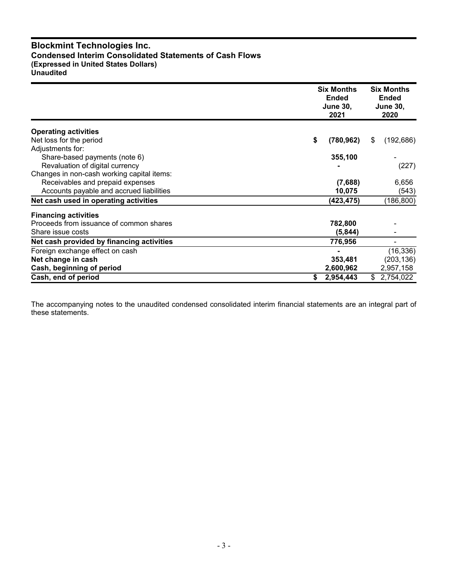## **Blockmint Technologies Inc. Condensed Interim Consolidated Statements of Cash Flows (Expressed in United States Dollars) Unaudited**

|                                            | <b>Six Months</b><br><b>Ended</b><br><b>June 30,</b><br>2021 | <b>Six Months</b><br><b>Ended</b><br><b>June 30,</b><br>2020 |  |  |
|--------------------------------------------|--------------------------------------------------------------|--------------------------------------------------------------|--|--|
| <b>Operating activities</b>                |                                                              |                                                              |  |  |
| Net loss for the period                    | \$<br>(780, 962)                                             | \$<br>(192, 686)                                             |  |  |
| Adjustments for:                           |                                                              |                                                              |  |  |
| Share-based payments (note 6)              | 355,100                                                      |                                                              |  |  |
| Revaluation of digital currency            |                                                              | (227)                                                        |  |  |
| Changes in non-cash working capital items: |                                                              |                                                              |  |  |
| Receivables and prepaid expenses           | (7,688)                                                      | 6,656                                                        |  |  |
| Accounts payable and accrued liabilities   | 10,075                                                       | (543)                                                        |  |  |
| Net cash used in operating activities      | (423, 475)                                                   | (186, 800)                                                   |  |  |
| <b>Financing activities</b>                |                                                              |                                                              |  |  |
| Proceeds from issuance of common shares    | 782,800                                                      |                                                              |  |  |
| Share issue costs                          | (5, 844)                                                     |                                                              |  |  |
| Net cash provided by financing activities  | 776,956                                                      |                                                              |  |  |
| Foreign exchange effect on cash            |                                                              | (16, 336)                                                    |  |  |
| Net change in cash                         | 353,481                                                      | (203, 136)                                                   |  |  |
| Cash, beginning of period                  | 2,600,962                                                    | 2,957,158                                                    |  |  |
| Cash, end of period                        | 2,954,443<br>S                                               | 2,754,022<br>\$                                              |  |  |

The accompanying notes to the unaudited condensed consolidated interim financial statements are an integral part of these statements.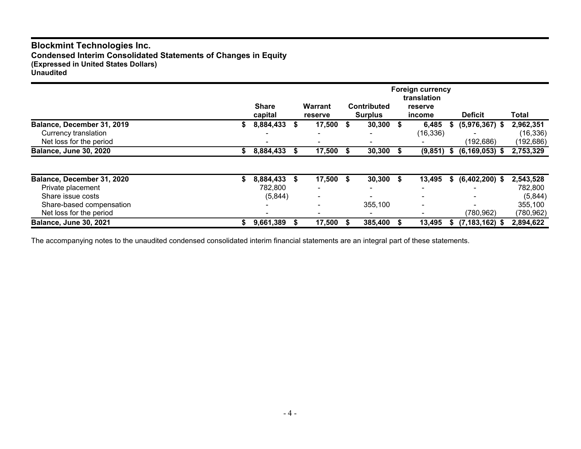## **Blockmint Technologies Inc. Condensed Interim Consolidated Statements of Changes in Equity (Expressed in United States Dollars) Unaudited**

|                                                 | <b>Share</b><br>capital |   | <b>Warrant</b><br>reserve |      | <b>Contributed</b><br><b>Surplus</b> |   | <b>Foreign currency</b><br>translation<br>reserve<br>income |      | <b>Deficit</b>     | Total                   |
|-------------------------------------------------|-------------------------|---|---------------------------|------|--------------------------------------|---|-------------------------------------------------------------|------|--------------------|-------------------------|
| Balance, December 31, 2019                      | 8,884,433               |   | 17,500                    | - \$ | 30,300                               | S | 6,485                                                       |      | $(5,976,367)$ \$   | 2,962,351               |
| Currency translation<br>Net loss for the period |                         |   |                           |      |                                      |   | (16, 336)                                                   |      | (192,686)          | (16, 336)<br>(192, 686) |
| <b>Balance, June 30, 2020</b>                   | 8,884,433               |   | 17,500                    |      | 30,300                               |   | (9, 851)                                                    | - \$ | $(6, 169, 053)$ \$ | 2,753,329               |
|                                                 |                         |   |                           |      |                                      |   |                                                             |      |                    |                         |
| Balance, December 31, 2020<br>Private placement | 8,884,433<br>782,800    | S | 17,500 \$                 |      | 30,300                               | S | 13,495                                                      | S    | $(6,402,200)$ \$   | 2,543,528<br>782,800    |
| Share issue costs                               | (5,844)                 |   |                           |      |                                      |   |                                                             |      |                    | (5,844)                 |
| Share-based compensation                        |                         |   |                           |      | 355,100                              |   | $\overline{\phantom{a}}$                                    |      |                    | 355,100                 |
| Net loss for the period                         |                         |   |                           |      |                                      |   |                                                             |      | (780,962)          | (780,962)               |
| <b>Balance, June 30, 2021</b>                   | 9,661,389               |   | 17,500                    |      | 385,400                              |   | 13,495                                                      | S    | $(7, 183, 162)$ \$ | 2,894,622               |

The accompanying notes to the unaudited condensed consolidated interim financial statements are an integral part of these statements.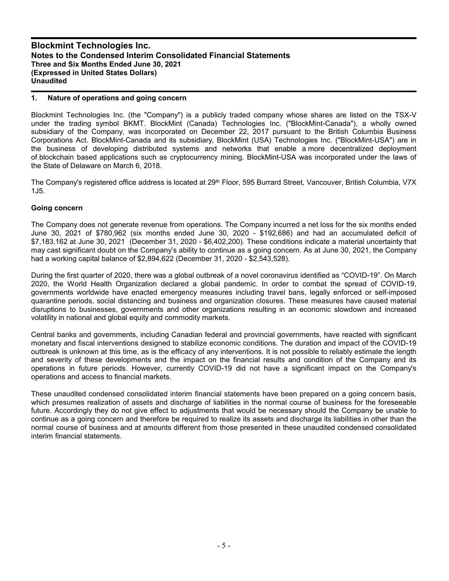#### **1. Nature of operations and going concern**

Blockmint Technologies Inc. (the "Company") is a publicly traded company whose shares are listed on the TSX-V under the trading symbol BKMT. BlockMint (Canada) Technologies Inc. ("BlockMint-Canada"), a wholly owned subsidiary of the Company, was incorporated on December 22, 2017 pursuant to the British Columbia Business Corporations Act. BlockMint-Canada and its subsidiary, BlockMint (USA) Technologies Inc. ("BlockMint-USA") are in the business of developing distributed systems and networks that enable a more decentralized deployment of blockchain based applications such as cryptocurrency mining. BlockMint-USA was incorporated under the laws of the State of Delaware on March 6, 2018.

The Company's registered office address is located at 29<sup>th</sup> Floor, 595 Burrard Street, Vancouver, British Columbia, V7X 1J5.

#### **Going concern**

The Company does not generate revenue from operations. The Company incurred a net loss for the six months ended June 30, 2021 of \$780,962 (six months ended June 30, 2020 - \$192,686) and had an accumulated deficit of \$7,183,162 at June 30, 2021 (December 31, 2020 - \$6,402,200). These conditions indicate a material uncertainty that may cast significant doubt on the Company's ability to continue as a going concern. As at June 30, 2021, the Company had a working capital balance of \$2,894,622 (December 31, 2020 - \$2,543,528).

During the first quarter of 2020, there was a global outbreak of a novel coronavirus identified as "COVID-19". On March 2020, the World Health Organization declared a global pandemic. In order to combat the spread of COVID-19, governments worldwide have enacted emergency measures including travel bans, legally enforced or self-imposed quarantine periods, social distancing and business and organization closures. These measures have caused material disruptions to businesses, governments and other organizations resulting in an economic slowdown and increased volatility in national and global equity and commodity markets.

Central banks and governments, including Canadian federal and provincial governments, have reacted with significant monetary and fiscal interventions designed to stabilize economic conditions. The duration and impact of the COVID-19 outbreak is unknown at this time, as is the efficacy of any interventions. It is not possible to reliably estimate the length and severity of these developments and the impact on the financial results and condition of the Company and its operations in future periods. However, currently COVID-19 did not have a significant impact on the Company's operations and access to financial markets.

These unaudited condensed consolidated interim financial statements have been prepared on a going concern basis, which presumes realization of assets and discharge of liabilities in the normal course of business for the foreseeable future. Accordingly they do not give effect to adjustments that would be necessary should the Company be unable to continue as a going concern and therefore be required to realize its assets and discharge its liabilities in other than the normal course of business and at amounts different from those presented in these unaudited condensed consolidated interim financial statements.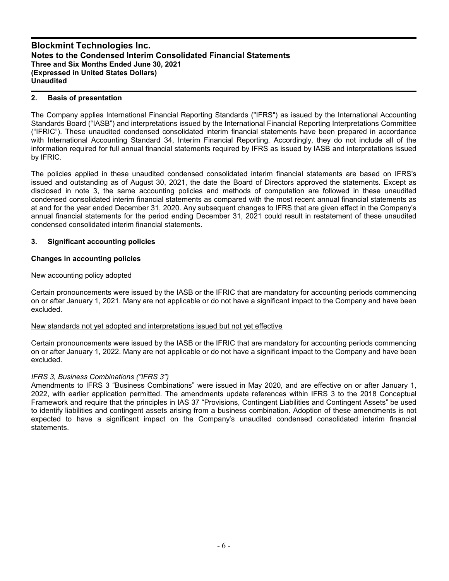#### **2. Basis of presentation**

The Company applies International Financial Reporting Standards ("IFRS") as issued by the International Accounting Standards Board ("IASB") and interpretations issued by the International Financial Reporting Interpretations Committee ("IFRIC"). These unaudited condensed consolidated interim financial statements have been prepared in accordance with International Accounting Standard 34, Interim Financial Reporting. Accordingly, they do not include all of the information required for full annual financial statements required by IFRS as issued by IASB and interpretations issued by IFRIC.

The policies applied in these unaudited condensed consolidated interim financial statements are based on IFRS's issued and outstanding as of August 30, 2021, the date the Board of Directors approved the statements. Except as disclosed in note 3, the same accounting policies and methods of computation are followed in these unaudited condensed consolidated interim financial statements as compared with the most recent annual financial statements as at and for the year ended December 31, 2020. Any subsequent changes to IFRS that are given effect in the Company's annual financial statements for the period ending December 31, 2021 could result in restatement of these unaudited condensed consolidated interim financial statements.

#### **3. Significant accounting policies**

## **Changes in accounting policies**

#### New accounting policy adopted

Certain pronouncements were issued by the IASB or the IFRIC that are mandatory for accounting periods commencing on or after January 1, 2021. Many are not applicable or do not have a significant impact to the Company and have been excluded.

#### New standards not yet adopted and interpretations issued but not yet effective

Certain pronouncements were issued by the IASB or the IFRIC that are mandatory for accounting periods commencing on or after January 1, 2022. Many are not applicable or do not have a significant impact to the Company and have been excluded.

## *IFRS 3, Business Combinations ("IFRS 3")*

Amendments to IFRS 3 "Business Combinations" were issued in May 2020, and are effective on or after January 1, 2022, with earlier application permitted. The amendments update references within IFRS 3 to the 2018 Conceptual Framework and require that the principles in IAS 37 "Provisions, Contingent Liabilities and Contingent Assets" be used to identify liabilities and contingent assets arising from a business combination. Adoption of these amendments is not expected to have a significant impact on the Company's unaudited condensed consolidated interim financial statements.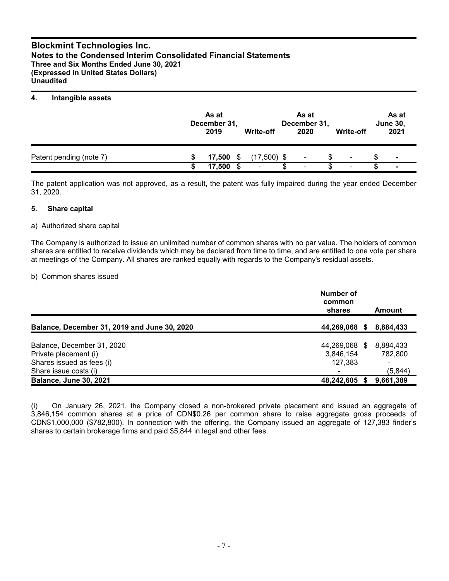#### **4. Intangible assets**

|                         | As at<br>December 31,<br>2019 |   | Write-off     | As at<br>December 31,<br>2020 |   | Write-off | As at<br><b>June 30,</b><br>2021 |
|-------------------------|-------------------------------|---|---------------|-------------------------------|---|-----------|----------------------------------|
| Patent pending (note 7) | 17.500                        | S | $(17,500)$ \$ | ۰                             | S | ۰         | $\blacksquare$                   |
|                         | 17.500                        |   | ٠             | $\overline{\phantom{a}}$      |   | ۰         | $\overline{\phantom{a}}$         |

The patent application was not approved, as a result, the patent was fully impaired during the year ended December 31, 2020.

#### **5. Share capital**

#### a) Authorized share capital

The Company is authorized to issue an unlimited number of common shares with no par value. The holders of common shares are entitled to receive dividends which may be declared from time to time, and are entitled to one vote per share at meetings of the Company. All shares are ranked equally with regards to the Company's residual assets.

#### b) Common shares issued

|                                                    | Number of<br>common<br>shares | Amount                    |
|----------------------------------------------------|-------------------------------|---------------------------|
| Balance, December 31, 2019 and June 30, 2020       | 44,269,068 \$                 | 8,884,433                 |
| Balance, December 31, 2020                         | 44,269,068 \$                 | 8,884,433                 |
| Private placement (i)<br>Shares issued as fees (i) | 3,846,154<br>127,383          | 782.800<br>$\blacksquare$ |
| Share issue costs (i)                              |                               | (5, 844)                  |
| <b>Balance, June 30, 2021</b>                      | 48,242,605                    | 9,661,389                 |

(i) On January 26, 2021, the Company closed a non-brokered private placement and issued an aggregate of 3,846,154 common shares at a price of CDN\$0.26 per common share to raise aggregate gross proceeds of CDN\$1,000,000 (\$782,800). In connection with the offering, the Company issued an aggregate of 127,383 finder's shares to certain brokerage firms and paid \$5,844 in legal and other fees.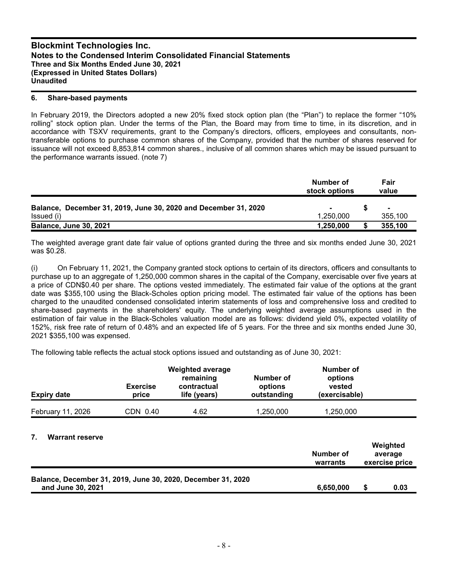#### **6. Share-based payments**

In February 2019, the Directors adopted a new 20% fixed stock option plan (the "Plan") to replace the former "10% rolling" stock option plan. Under the terms of the Plan, the Board may from time to time, in its discretion, and in accordance with TSXV requirements, grant to the Company's directors, officers, employees and consultants, nontransferable options to purchase common shares of the Company, provided that the number of shares reserved for issuance will not exceed 8,853,814 common shares., inclusive of all common shares which may be issued pursuant to the performance warrants issued. (note 7)

|                                                                 | Number of<br>stock options | Fair<br>value |
|-----------------------------------------------------------------|----------------------------|---------------|
| Balance, December 31, 2019, June 30, 2020 and December 31, 2020 |                            | ж.            |
| Issued (i)                                                      | 1.250.000                  | 355.100       |
| <b>Balance, June 30, 2021</b>                                   | 1,250,000                  | 355,100       |

The weighted average grant date fair value of options granted during the three and six months ended June 30, 2021 was \$0.28.

(i) On February 11, 2021, the Company granted stock options to certain of its directors, officers and consultants to purchase up to an aggregate of 1,250,000 common shares in the capital of the Company, exercisable over five years at a price of CDN\$0.40 per share. The options vested immediately. The estimated fair value of the options at the grant date was \$355,100 using the Black-Scholes option pricing model. The estimated fair value of the options has been charged to the unaudited condensed consolidated interim statements of loss and comprehensive loss and credited to share-based payments in the shareholders' equity. The underlying weighted average assumptions used in the estimation of fair value in the Black-Scholes valuation model are as follows: dividend yield 0%, expected volatility of 152%, risk free rate of return of 0.48% and an expected life of 5 years. For the three and six months ended June 30, 2021 \$355,100 was expensed.

The following table reflects the actual stock options issued and outstanding as of June 30, 2021:

| <b>Expiry date</b>     | <b>Exercise</b><br>price | <b>Weighted average</b><br>remaining<br>Number of<br>contractual<br>options<br>outstanding<br>life (years) |           | Number of<br>options<br>vested<br>(exercisable) |                    |
|------------------------|--------------------------|------------------------------------------------------------------------------------------------------------|-----------|-------------------------------------------------|--------------------|
| February 11, 2026      | CDN 0.40                 | 4.62                                                                                                       | 1,250,000 | 1,250,000                                       |                    |
| <b>Warrant reserve</b> |                          |                                                                                                            |           | Numbor of                                       | Weighted<br>$\sim$ |

|                                                              | Number of<br>warrants | <i>v</i> elghted<br>average<br>exercise price |
|--------------------------------------------------------------|-----------------------|-----------------------------------------------|
| Balance, December 31, 2019, June 30, 2020, December 31, 2020 |                       |                                               |
| and June 30, 2021                                            | 6.650.000             | 0.03                                          |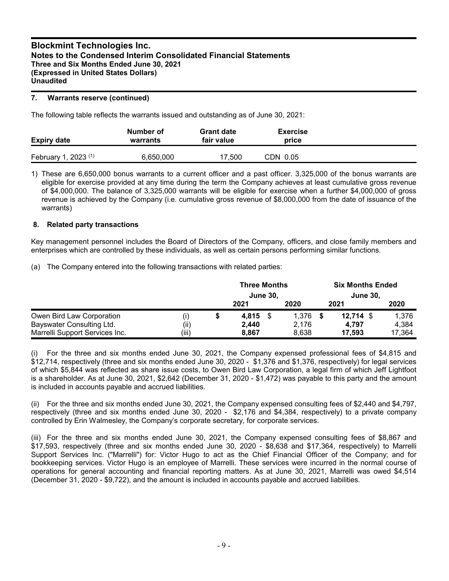#### **7. Warrants reserve (continued)**

The following table reflects the warrants issued and outstanding as of June 30, 2021:

| <b>Expiry date</b>          | Number of<br>warrants | <b>Grant date</b><br>fair value | <b>Exercise</b><br>price |  |
|-----------------------------|-----------------------|---------------------------------|--------------------------|--|
| $, 2023$ (1)<br>February 1, | 6,650,000             | 17,500                          | CDN 0.05                 |  |

1) These are 6,650,000 bonus warrants to a current officer and a past officer. 3,325,000 of the bonus warrants are eligible for exercise provided at any time during the term the Company achieves at least cumulative gross revenue of \$4,000,000. The balance of 3,325,000 warrants will be eligible for exercise when a further \$4,000,000 of gross revenue is achieved by the Company (i.e. cumulative gross revenue of \$8,000,000 from the date of issuance of the warrants)

#### **8. Related party transactions**

Key management personnel includes the Board of Directors of the Company, officers, and close family members and enterprises which are controlled by these individuals, as well as certain persons performing similar functions.

(a) The Company entered into the following transactions with related parties:

|                                |       | <b>Three Months</b><br><b>June 30.</b> |  |       | <b>Six Months Ended</b><br><b>June 30,</b> |        |
|--------------------------------|-------|----------------------------------------|--|-------|--------------------------------------------|--------|
|                                |       | 2021                                   |  | 2020  | 2021                                       | 2020   |
| Owen Bird Law Corporation      | (i)   | 4,815 \$                               |  | 1.376 | $12,714$ \$                                | 1,376  |
| Bayswater Consulting Ltd.      | (ii)  | 2,440                                  |  | 2.176 | 4.797                                      | 4,384  |
| Marrelli Support Services Inc. | (iii) | 8,867                                  |  | 8.638 | 17.593                                     | 17,364 |

(i) For the three and six months ended June 30, 2021, the Company expensed professional fees of \$4,815 and \$12,714, respectively (three and six months ended June 30, 2020 - \$1,376 and \$1,376, respectively) for legal services of which \$5,844 was reflected as share issue costs, to Owen Bird Law Corporation, a legal firm of which Jeff Lightfoot is a shareholder. As at June 30, 2021, \$2,642 (December 31, 2020 - \$1,472) was payable to this party and the amount is included in accounts payable and accrued liabilities.

(ii) For the three and six months ended June 30, 2021, the Company expensed consulting fees of \$2,440 and \$4,797, respectively (three and six months ended June 30, 2020 - \$2,176 and \$4,384, respectively) to a private company controlled by Erin Walmesley, the Company's corporate secretary, for corporate services.

(iii) For the three and six months ended June 30, 2021, the Company expensed consulting fees of \$8,867 and \$17,593, respectively (three and six months ended June 30, 2020 - \$8,638 and \$17,364, respectively) to Marrelli Support Services Inc. ("Marrelli") for: Victor Hugo to act as the Chief Financial Officer of the Company; and for bookkeeping services. Victor Hugo is an employee of Marrelli. These services were incurred in the normal course of operations for general accounting and financial reporting matters. As at June 30, 2021, Marrelli was owed \$4,514 (December 31, 2020 - \$9,722), and the amount is included in accounts payable and accrued liabilities.